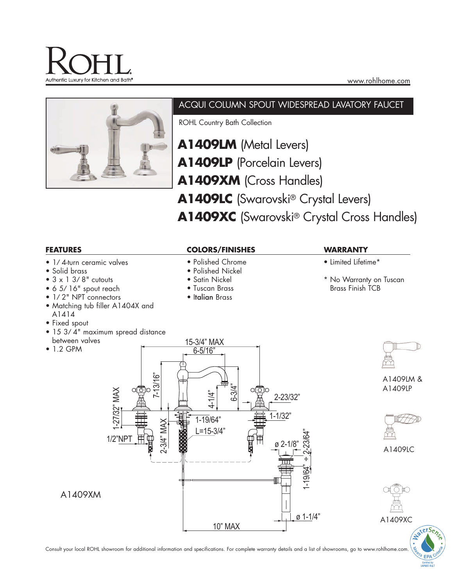



# ACQUI COLUMN SPOUT WIDESPREAD LAVATORY FAUCET

ROHL Country Bath Collection

- **A1409LM** (Metal Levers) **A1409LP** (Porcelain Levers) **A1409XM** (Cross Handles)
- **A1409LC** (Swarovski® Crystal Levers)
- **A1409XC** (Swarovski® Crystal Cross Handles)



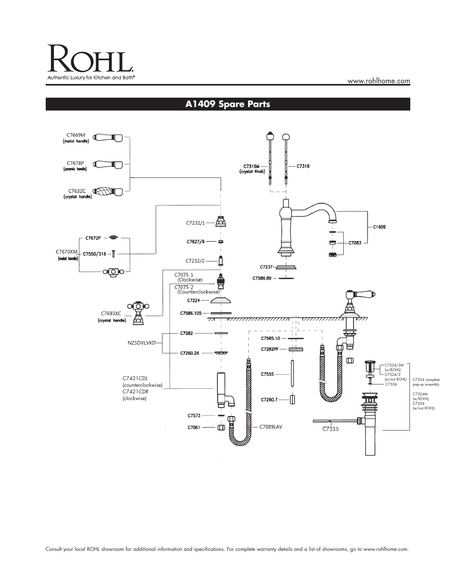

www.rohlhome.com

**A1409 Spare Parts**

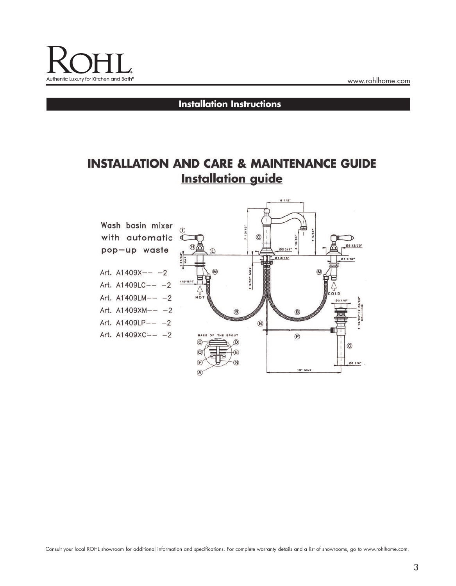

# **Installation Instructions**

# **INSTALLATION AND CARE & MAINTENANCE GUIDE Installation guide**



Consult your local ROHL showroom for additional information and specifications. For complete warranty details and a list of showrooms, go to www.rohlhome.com.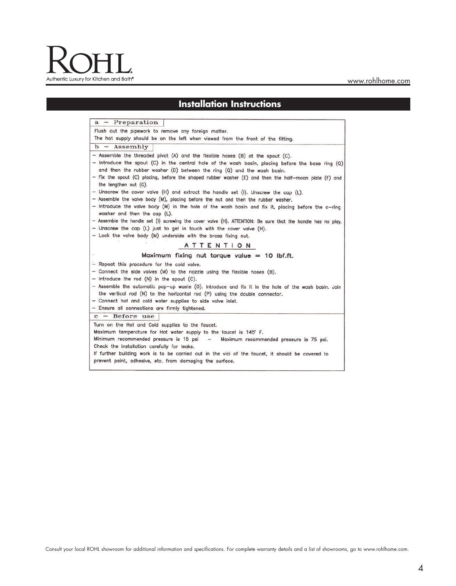# Authentic Luxury for Kitchen and Bath®

#### www.rohlhome.com

## **Installation Instructions**

a - Preparation

The hot supply should be on the left when viewed from the front of the fitting.  $b -$  Assembly

- Assemble the threaded pivot (A) and the flexible hoses (B) at the spout (C).
- Introduce the spout (C) in the central hole of the wash basin, placing before the base ring (Q) and then the rubber washer (D) between the ring (Q) and the wash basin.

- Fix the spout (C) placing, before the shaped rubber washer (E) and then the half-moon plate (F) and the lengthen nut (G).

- Unscrew the cover valve (H) and extract the handle set (I). Unscrew the cap (L).

- Assemble the valve body (M), placing before the nut and then the rubber washer.
- Introduce the valve body (M) in the hole of the wash basin and fix it, placing before the o-ring washer and then the cap (L).

- Assemble the handle set (I) screwing the cover valve (H). ATTENTION: Be sure that the handle has no play.

- Unscrew the cap (L) just to get in touch with the cover valve (H).
- Lock the valve body (M) underside with the brass fixing nut.

Flush out the pipework to remove any foreign matter.

#### **ATTENTION**

#### Maximum fixing nut torque value = 10 lbf.ft.

- Repeat this procedure for the cold valve.
- Connect the side valves (M) to the nozzle using the flexible hoses (B).
- Introduce the rod (N) in the spout (C).
- Assemble the automatic pop-up waste (0). Introduce and fix it in the hole of the wash basin. Join the vertical rod (N) to the horizontal rod (P) using the double connector.
- Connect hot and cold water supplies to side valve inlet.
- Ensure all connections are firmly tightened.

 $c -$  Before use

Turn on the Hot and Cold supplies to the faucet. Maximum temperature for Hot water supply to the faucet is 145° F. Minimum recommended pressure is 15 psi - Maximum recommended pressure is 75 psi. Check the installation carefully for leaks. If further building work is to be carried out in the vici of the faucet, it should be covered to prevent paint, adhesive, etc. from damaging the surface.

Consult your local ROHL showroom for additional information and specifications. For complete warranty details and a list of showrooms, go to www.rohlhome.com.